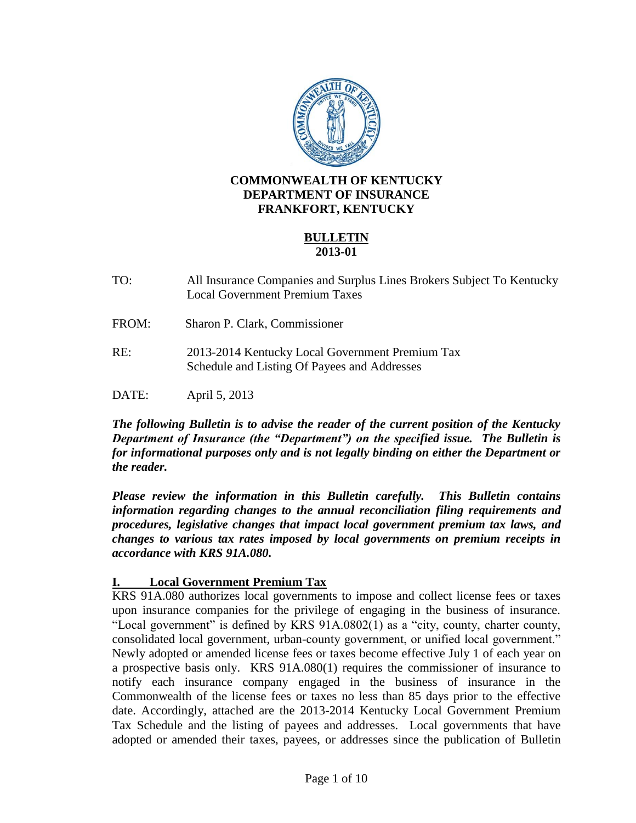

### **BULLETIN 2013-01**

- TO: All Insurance Companies and Surplus Lines Brokers Subject To Kentucky Local Government Premium Taxes
- FROM: Sharon P. Clark, Commissioner
- RE: 2013-2014 Kentucky Local Government Premium Tax Schedule and Listing Of Payees and Addresses
- DATE: April 5, 2013

*The following Bulletin is to advise the reader of the current position of the Kentucky Department of Insurance (the "Department") on the specified issue. The Bulletin is for informational purposes only and is not legally binding on either the Department or the reader.*

*Please review the information in this Bulletin carefully. This Bulletin contains information regarding changes to the annual reconciliation filing requirements and procedures, legislative changes that impact local government premium tax laws, and changes to various tax rates imposed by local governments on premium receipts in accordance with KRS 91A.080.* 

## **I. Local Government Premium Tax**

KRS 91A.080 authorizes local governments to impose and collect license fees or taxes upon insurance companies for the privilege of engaging in the business of insurance. "Local government" is defined by KRS 91A.0802(1) as a "city, county, charter county, consolidated local government, urban-county government, or unified local government." Newly adopted or amended license fees or taxes become effective July 1 of each year on a prospective basis only. KRS 91A.080(1) requires the commissioner of insurance to notify each insurance company engaged in the business of insurance in the Commonwealth of the license fees or taxes no less than 85 days prior to the effective date. Accordingly, attached are the 2013-2014 Kentucky Local Government Premium Tax Schedule and the listing of payees and addresses. Local governments that have adopted or amended their taxes, payees, or addresses since the publication of Bulletin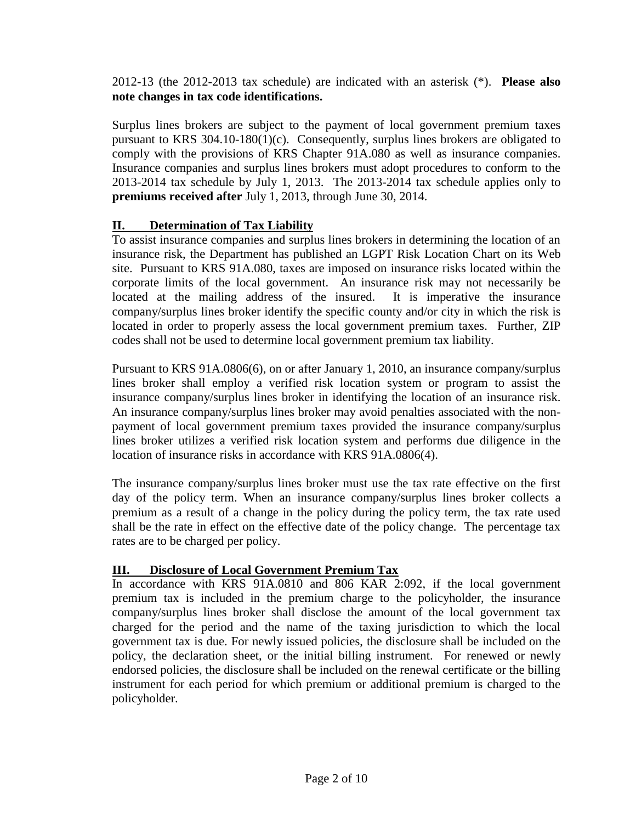2012-13 (the 2012-2013 tax schedule) are indicated with an asterisk (\*). **Please also note changes in tax code identifications.** 

Surplus lines brokers are subject to the payment of local government premium taxes pursuant to KRS 304.10-180(1)(c). Consequently, surplus lines brokers are obligated to comply with the provisions of KRS Chapter 91A.080 as well as insurance companies. Insurance companies and surplus lines brokers must adopt procedures to conform to the 2013-2014 tax schedule by July 1, 2013. The 2013-2014 tax schedule applies only to **premiums received after** July 1, 2013, through June 30, 2014.

# **II. Determination of Tax Liability**

To assist insurance companies and surplus lines brokers in determining the location of an insurance risk, the Department has published an LGPT Risk Location Chart on its Web site. Pursuant to KRS 91A.080, taxes are imposed on insurance risks located within the corporate limits of the local government. An insurance risk may not necessarily be located at the mailing address of the insured. It is imperative the insurance company/surplus lines broker identify the specific county and/or city in which the risk is located in order to properly assess the local government premium taxes. Further, ZIP codes shall not be used to determine local government premium tax liability.

Pursuant to KRS 91A.0806(6), on or after January 1, 2010, an insurance company/surplus lines broker shall employ a verified risk location system or program to assist the insurance company/surplus lines broker in identifying the location of an insurance risk. An insurance company/surplus lines broker may avoid penalties associated with the nonpayment of local government premium taxes provided the insurance company/surplus lines broker utilizes a verified risk location system and performs due diligence in the location of insurance risks in accordance with KRS 91A.0806(4).

The insurance company/surplus lines broker must use the tax rate effective on the first day of the policy term. When an insurance company/surplus lines broker collects a premium as a result of a change in the policy during the policy term, the tax rate used shall be the rate in effect on the effective date of the policy change. The percentage tax rates are to be charged per policy.

# **III. Disclosure of Local Government Premium Tax**

In accordance with KRS 91A.0810 and 806 KAR 2:092, if the local government premium tax is included in the premium charge to the policyholder, the insurance company/surplus lines broker shall disclose the amount of the local government tax charged for the period and the name of the taxing jurisdiction to which the local government tax is due. For newly issued policies, the disclosure shall be included on the policy, the declaration sheet, or the initial billing instrument. For renewed or newly endorsed policies, the disclosure shall be included on the renewal certificate or the billing instrument for each period for which premium or additional premium is charged to the policyholder.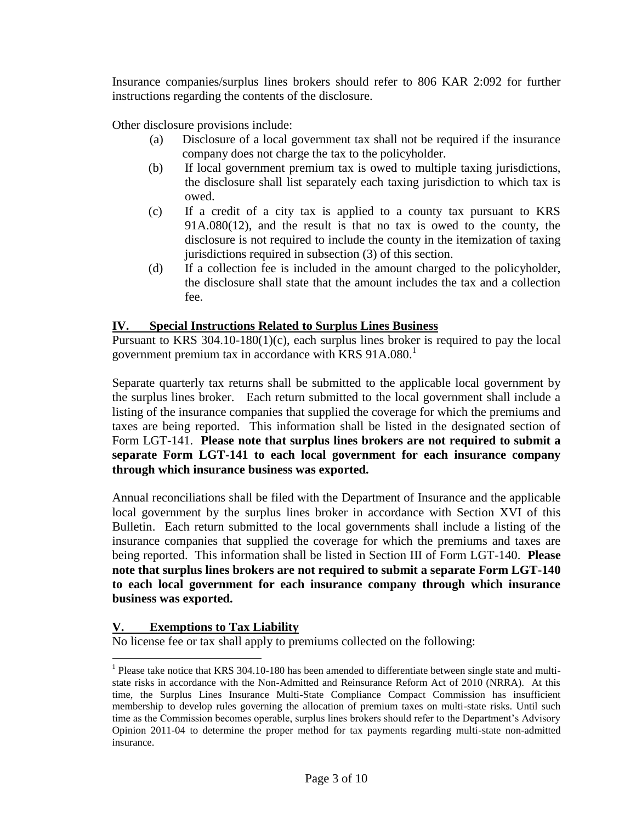Insurance companies/surplus lines brokers should refer to 806 KAR 2:092 for further instructions regarding the contents of the disclosure.

Other disclosure provisions include:

- (a) Disclosure of a local government tax shall not be required if the insurance company does not charge the tax to the policyholder.
- (b) If local government premium tax is owed to multiple taxing jurisdictions, the disclosure shall list separately each taxing jurisdiction to which tax is owed.
- (c) If a credit of a city tax is applied to a county tax pursuant to KRS 91A.080(12), and the result is that no tax is owed to the county, the disclosure is not required to include the county in the itemization of taxing jurisdictions required in subsection (3) of this section.
- (d) If a collection fee is included in the amount charged to the policyholder, the disclosure shall state that the amount includes the tax and a collection fee.

### **IV. Special Instructions Related to Surplus Lines Business**

Pursuant to KRS  $304.10-180(1)(c)$ , each surplus lines broker is required to pay the local government premium tax in accordance with KRS 91A.080.<sup>1</sup>

Separate quarterly tax returns shall be submitted to the applicable local government by the surplus lines broker. Each return submitted to the local government shall include a listing of the insurance companies that supplied the coverage for which the premiums and taxes are being reported. This information shall be listed in the designated section of Form LGT-141. **Please note that surplus lines brokers are not required to submit a separate Form LGT-141 to each local government for each insurance company through which insurance business was exported.**

Annual reconciliations shall be filed with the Department of Insurance and the applicable local government by the surplus lines broker in accordance with Section XVI of this Bulletin. Each return submitted to the local governments shall include a listing of the insurance companies that supplied the coverage for which the premiums and taxes are being reported. This information shall be listed in Section III of Form LGT-140. **Please note that surplus lines brokers are not required to submit a separate Form LGT-140 to each local government for each insurance company through which insurance business was exported.**

## **Exemptions to Tax Liability**

 $\overline{a}$ 

No license fee or tax shall apply to premiums collected on the following:

<sup>&</sup>lt;sup>1</sup> Please take notice that KRS 304.10-180 has been amended to differentiate between single state and multistate risks in accordance with the Non-Admitted and Reinsurance Reform Act of 2010 (NRRA). At this time, the Surplus Lines Insurance Multi-State Compliance Compact Commission has insufficient membership to develop rules governing the allocation of premium taxes on multi-state risks. Until such time as the Commission becomes operable, surplus lines brokers should refer to the Department's Advisory Opinion 2011-04 to determine the proper method for tax payments regarding multi-state non-admitted insurance.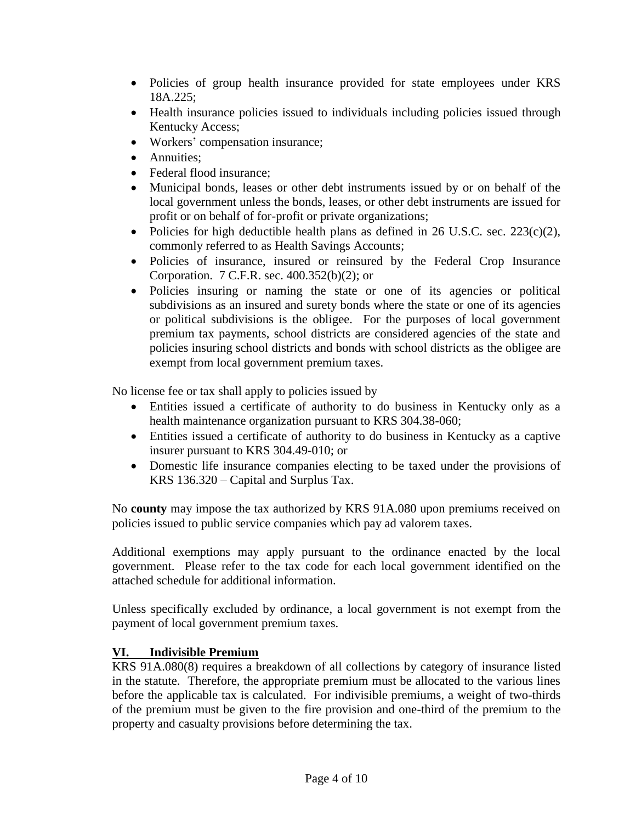- Policies of group health insurance provided for state employees under KRS 18A.225;
- Health insurance policies issued to individuals including policies issued through Kentucky Access;
- Workers' compensation insurance;
- Annuities:
- Federal flood insurance;
- Municipal bonds, leases or other debt instruments issued by or on behalf of the local government unless the bonds, leases, or other debt instruments are issued for profit or on behalf of for-profit or private organizations;
- Policies for high deductible health plans as defined in 26 U.S.C. sec.  $223(c)(2)$ , commonly referred to as Health Savings Accounts;
- Policies of insurance, insured or reinsured by the Federal Crop Insurance Corporation. 7 C.F.R. sec. 400.352(b)(2); or
- Policies insuring or naming the state or one of its agencies or political subdivisions as an insured and surety bonds where the state or one of its agencies or political subdivisions is the obligee. For the purposes of local government premium tax payments, school districts are considered agencies of the state and policies insuring school districts and bonds with school districts as the obligee are exempt from local government premium taxes.

No license fee or tax shall apply to policies issued by

- Entities issued a certificate of authority to do business in Kentucky only as a health maintenance organization pursuant to KRS 304.38-060;
- Entities issued a certificate of authority to do business in Kentucky as a captive insurer pursuant to KRS 304.49-010; or
- Domestic life insurance companies electing to be taxed under the provisions of KRS 136.320 – Capital and Surplus Tax.

No **county** may impose the tax authorized by KRS 91A.080 upon premiums received on policies issued to public service companies which pay ad valorem taxes.

Additional exemptions may apply pursuant to the ordinance enacted by the local government. Please refer to the tax code for each local government identified on the attached schedule for additional information.

Unless specifically excluded by ordinance, a local government is not exempt from the payment of local government premium taxes.

# **VI. Indivisible Premium**

KRS 91A.080(8) requires a breakdown of all collections by category of insurance listed in the statute. Therefore, the appropriate premium must be allocated to the various lines before the applicable tax is calculated. For indivisible premiums, a weight of two-thirds of the premium must be given to the fire provision and one-third of the premium to the property and casualty provisions before determining the tax.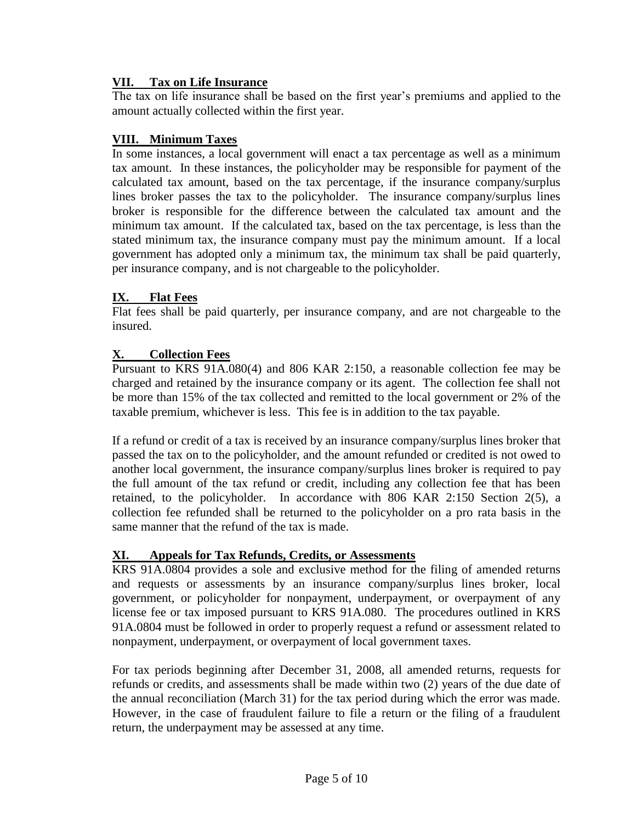# **VII. Tax on Life Insurance**

The tax on life insurance shall be based on the first year's premiums and applied to the amount actually collected within the first year.

# **VIII. Minimum Taxes**

In some instances, a local government will enact a tax percentage as well as a minimum tax amount. In these instances, the policyholder may be responsible for payment of the calculated tax amount, based on the tax percentage, if the insurance company/surplus lines broker passes the tax to the policyholder. The insurance company/surplus lines broker is responsible for the difference between the calculated tax amount and the minimum tax amount. If the calculated tax, based on the tax percentage, is less than the stated minimum tax, the insurance company must pay the minimum amount. If a local government has adopted only a minimum tax, the minimum tax shall be paid quarterly, per insurance company, and is not chargeable to the policyholder.

## **IX. Flat Fees**

Flat fees shall be paid quarterly, per insurance company, and are not chargeable to the insured.

# **X. Collection Fees**

Pursuant to KRS 91A.080(4) and 806 KAR 2:150, a reasonable collection fee may be charged and retained by the insurance company or its agent. The collection fee shall not be more than 15% of the tax collected and remitted to the local government or 2% of the taxable premium, whichever is less. This fee is in addition to the tax payable.

If a refund or credit of a tax is received by an insurance company/surplus lines broker that passed the tax on to the policyholder, and the amount refunded or credited is not owed to another local government, the insurance company/surplus lines broker is required to pay the full amount of the tax refund or credit, including any collection fee that has been retained, to the policyholder. In accordance with 806 KAR 2:150 Section 2(5), a collection fee refunded shall be returned to the policyholder on a pro rata basis in the same manner that the refund of the tax is made.

## **XI. Appeals for Tax Refunds, Credits, or Assessments**

KRS 91A.0804 provides a sole and exclusive method for the filing of amended returns and requests or assessments by an insurance company/surplus lines broker, local government, or policyholder for nonpayment, underpayment, or overpayment of any license fee or tax imposed pursuant to KRS 91A.080. The procedures outlined in KRS 91A.0804 must be followed in order to properly request a refund or assessment related to nonpayment, underpayment, or overpayment of local government taxes.

For tax periods beginning after December 31, 2008, all amended returns, requests for refunds or credits, and assessments shall be made within two (2) years of the due date of the annual reconciliation (March 31) for the tax period during which the error was made. However, in the case of fraudulent failure to file a return or the filing of a fraudulent return, the underpayment may be assessed at any time.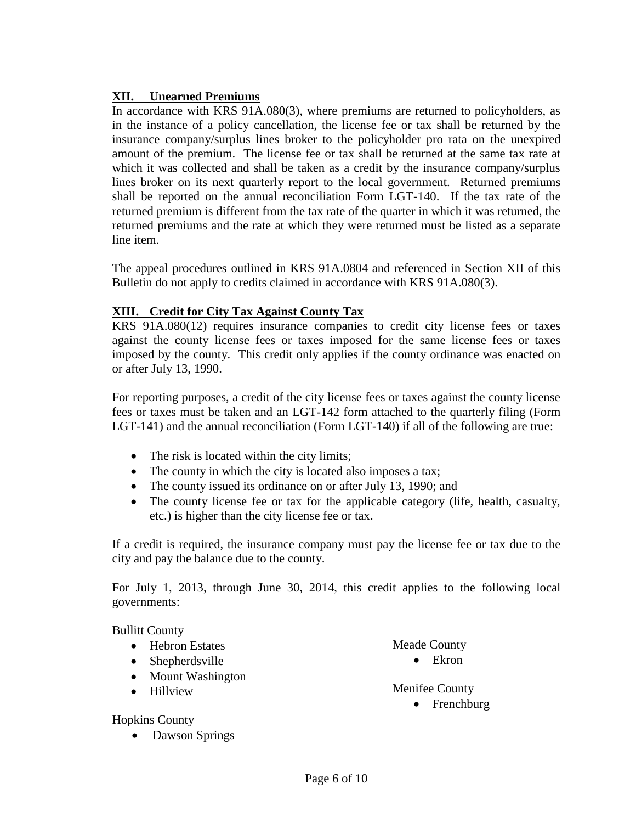# **XII. Unearned Premiums**

In accordance with KRS 91A.080(3), where premiums are returned to policyholders, as in the instance of a policy cancellation, the license fee or tax shall be returned by the insurance company/surplus lines broker to the policyholder pro rata on the unexpired amount of the premium. The license fee or tax shall be returned at the same tax rate at which it was collected and shall be taken as a credit by the insurance company/surplus lines broker on its next quarterly report to the local government. Returned premiums shall be reported on the annual reconciliation Form LGT-140. If the tax rate of the returned premium is different from the tax rate of the quarter in which it was returned, the returned premiums and the rate at which they were returned must be listed as a separate line item.

The appeal procedures outlined in KRS 91A.0804 and referenced in Section XII of this Bulletin do not apply to credits claimed in accordance with KRS 91A.080(3).

# **XIII. Credit for City Tax Against County Tax**

KRS 91A.080(12) requires insurance companies to credit city license fees or taxes against the county license fees or taxes imposed for the same license fees or taxes imposed by the county. This credit only applies if the county ordinance was enacted on or after July 13, 1990.

For reporting purposes, a credit of the city license fees or taxes against the county license fees or taxes must be taken and an LGT-142 form attached to the quarterly filing (Form LGT-141) and the annual reconciliation (Form LGT-140) if all of the following are true:

- The risk is located within the city limits;
- The county in which the city is located also imposes a tax;
- The county issued its ordinance on or after July 13, 1990; and
- The county license fee or tax for the applicable category (life, health, casualty, etc.) is higher than the city license fee or tax.

If a credit is required, the insurance company must pay the license fee or tax due to the city and pay the balance due to the county.

For July 1, 2013, through June 30, 2014, this credit applies to the following local governments:

Bullitt County

- Hebron Estates
- Shepherdsville
- Mount Washington
- Hillview

Meade County

• Ekron

Menifee County

• Frenchburg

Hopkins County

• Dawson Springs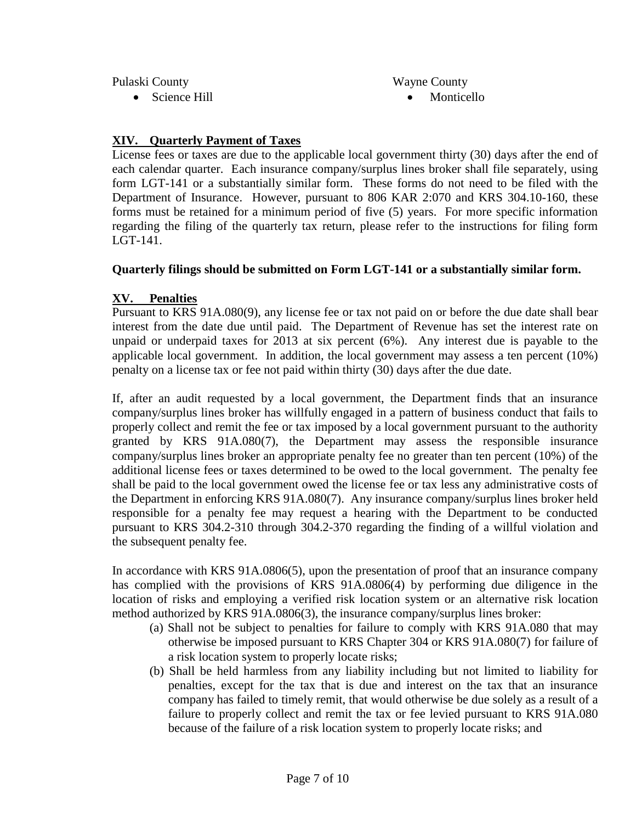Pulaski County

• Science Hill

#### Wayne County Monticello

# **XIV. Quarterly Payment of Taxes**

License fees or taxes are due to the applicable local government thirty (30) days after the end of each calendar quarter. Each insurance company/surplus lines broker shall file separately, using form LGT-141 or a substantially similar form. These forms do not need to be filed with the Department of Insurance. However, pursuant to 806 KAR 2:070 and KRS 304.10-160, these forms must be retained for a minimum period of five (5) years. For more specific information regarding the filing of the quarterly tax return, please refer to the instructions for filing form LGT-141.

### **Quarterly filings should be submitted on Form LGT-141 or a substantially similar form.**

### **XV. Penalties**

Pursuant to KRS 91A.080(9), any license fee or tax not paid on or before the due date shall bear interest from the date due until paid. The Department of Revenue has set the interest rate on unpaid or underpaid taxes for 2013 at six percent (6%). Any interest due is payable to the applicable local government. In addition, the local government may assess a ten percent (10%) penalty on a license tax or fee not paid within thirty (30) days after the due date.

If, after an audit requested by a local government, the Department finds that an insurance company/surplus lines broker has willfully engaged in a pattern of business conduct that fails to properly collect and remit the fee or tax imposed by a local government pursuant to the authority granted by KRS 91A.080(7), the Department may assess the responsible insurance company/surplus lines broker an appropriate penalty fee no greater than ten percent (10%) of the additional license fees or taxes determined to be owed to the local government. The penalty fee shall be paid to the local government owed the license fee or tax less any administrative costs of the Department in enforcing KRS 91A.080(7). Any insurance company/surplus lines broker held responsible for a penalty fee may request a hearing with the Department to be conducted pursuant to KRS 304.2-310 through 304.2-370 regarding the finding of a willful violation and the subsequent penalty fee.

In accordance with KRS 91A.0806(5), upon the presentation of proof that an insurance company has complied with the provisions of KRS 91A.0806(4) by performing due diligence in the location of risks and employing a verified risk location system or an alternative risk location method authorized by KRS 91A.0806(3), the insurance company/surplus lines broker:

- (a) Shall not be subject to penalties for failure to comply with KRS 91A.080 that may otherwise be imposed pursuant to KRS Chapter 304 or KRS 91A.080(7) for failure of a risk location system to properly locate risks;
- (b) Shall be held harmless from any liability including but not limited to liability for penalties, except for the tax that is due and interest on the tax that an insurance company has failed to timely remit, that would otherwise be due solely as a result of a failure to properly collect and remit the tax or fee levied pursuant to KRS 91A.080 because of the failure of a risk location system to properly locate risks; and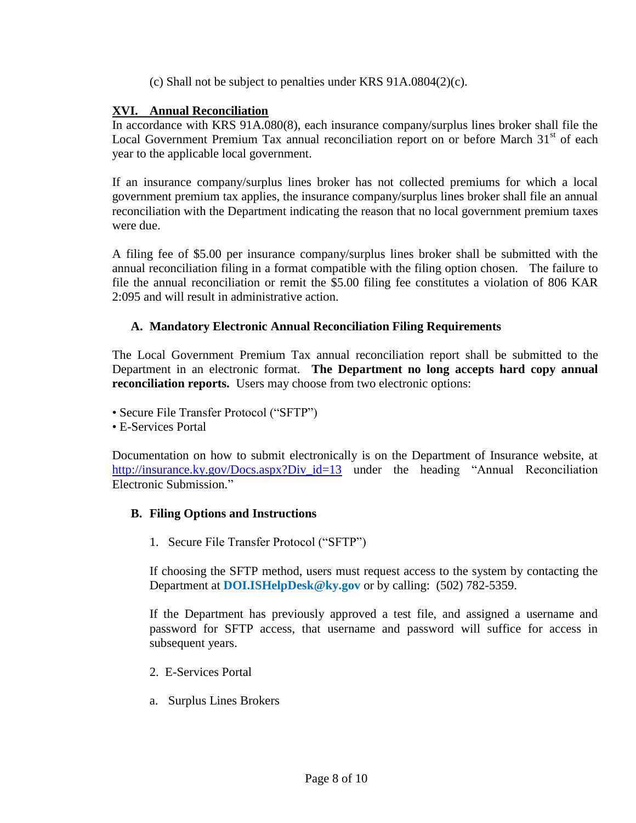(c) Shall not be subject to penalties under KRS 91A.0804(2)(c).

# **XVI. Annual Reconciliation**

In accordance with KRS 91A.080(8), each insurance company/surplus lines broker shall file the Local Government Premium Tax annual reconciliation report on or before March  $31<sup>st</sup>$  of each year to the applicable local government.

If an insurance company/surplus lines broker has not collected premiums for which a local government premium tax applies, the insurance company/surplus lines broker shall file an annual reconciliation with the Department indicating the reason that no local government premium taxes were due.

A filing fee of \$5.00 per insurance company/surplus lines broker shall be submitted with the annual reconciliation filing in a format compatible with the filing option chosen. The failure to file the annual reconciliation or remit the \$5.00 filing fee constitutes a violation of 806 KAR 2:095 and will result in administrative action.

## **A. Mandatory Electronic Annual Reconciliation Filing Requirements**

The Local Government Premium Tax annual reconciliation report shall be submitted to the Department in an electronic format. **The Department no long accepts hard copy annual reconciliation reports.** Users may choose from two electronic options:

- Secure File Transfer Protocol ("SFTP")
- E-Services Portal

Documentation on how to submit electronically is on the Department of Insurance website, at http://insurance.ky.gov/Docs.aspx?Div id=13 under the heading "Annual Reconciliation Electronic Submission."

## **B. Filing Options and Instructions**

1. Secure File Transfer Protocol ("SFTP")

If choosing the SFTP method, users must request access to the system by contacting the Department at **[DOI.ISHelpDesk@ky.gov](mailto:DOI.ISHelpDesk@ky.gov)** or by calling: (502) 782-5359.

If the Department has previously approved a test file, and assigned a username and password for SFTP access, that username and password will suffice for access in subsequent years.

- 2. E-Services Portal
- a. Surplus Lines Brokers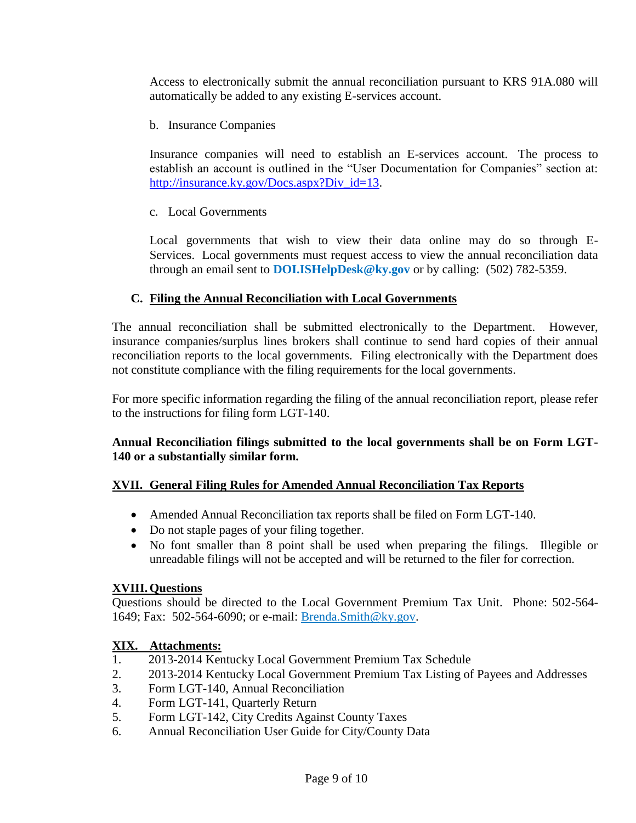Access to electronically submit the annual reconciliation pursuant to KRS 91A.080 will automatically be added to any existing E-services account.

b. Insurance Companies

Insurance companies will need to establish an E-services account. The process to establish an account is outlined in the "User Documentation for Companies" section at: [http://insurance.ky.gov/Docs.aspx?Div\\_id=13.](http://insurance.ky.gov/Docs.aspx?Div_id=13)

c. Local Governments

Local governments that wish to view their data online may do so through E-Services. Local governments must request access to view the annual reconciliation data through an email sent to **[DOI.ISHelpDesk@ky.gov](mailto:DOI.ISHelpDesk@ky.gov)** or by calling: (502) 782-5359.

### **C. Filing the Annual Reconciliation with Local Governments**

The annual reconciliation shall be submitted electronically to the Department. However, insurance companies/surplus lines brokers shall continue to send hard copies of their annual reconciliation reports to the local governments. Filing electronically with the Department does not constitute compliance with the filing requirements for the local governments.

For more specific information regarding the filing of the annual reconciliation report, please refer to the instructions for filing form LGT-140.

### **Annual Reconciliation filings submitted to the local governments shall be on Form LGT-140 or a substantially similar form.**

## **XVII. General Filing Rules for Amended Annual Reconciliation Tax Reports**

- Amended Annual Reconciliation tax reports shall be filed on Form LGT-140.
- Do not staple pages of your filing together.
- No font smaller than 8 point shall be used when preparing the filings. Illegible or unreadable filings will not be accepted and will be returned to the filer for correction.

### **XVIII.Questions**

Questions should be directed to the Local Government Premium Tax Unit. Phone: 502-564- 1649; Fax: 502-564-6090; or e-mail: [Brenda.Smith@ky.gov.](mailto:Brenda.Smith@ky.gov)

### **XIX. Attachments:**

- 1. 2013-2014 Kentucky Local Government Premium Tax Schedule
- 2. 2013-2014 Kentucky Local Government Premium Tax Listing of Payees and Addresses
- 3. Form LGT-140, Annual Reconciliation
- 4. Form LGT-141, Quarterly Return
- 5. Form LGT-142, City Credits Against County Taxes
- 6. Annual Reconciliation User Guide for City/County Data